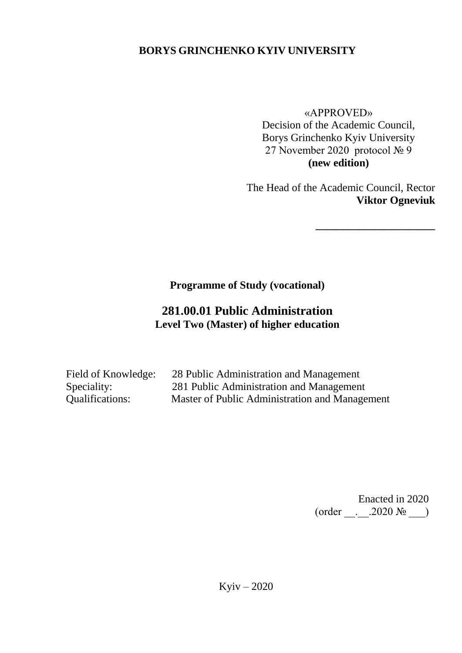# **BORYS GRINCHENKO KYIV UNIVERSITY**

«APPROVED» Decision of the Academic Council, Borys Grinchenko Kyiv University 27 November 2020 protocol № 9 **(new edition)**

The Head of the Academic Council, Rector **Viktor Ogneviuk**

**\_\_\_\_\_\_\_\_\_\_\_\_\_\_\_\_\_\_\_\_\_\_**

**Programme of Study (vocational)** 

# **281.00.01 Public Administration Level Two (Master) of higher education**

| Field of Knowledge: | 28 Public Administration and Management        |
|---------------------|------------------------------------------------|
| Speciality:         | 281 Public Administration and Management       |
| Qualifications:     | Master of Public Administration and Management |

Enacted in 2020 (order \_\_.\_\_.2020 № \_\_\_)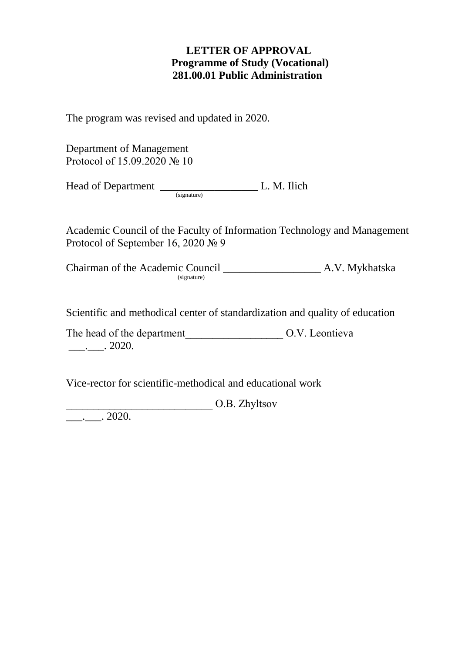### **LETTER OF APPROVAL Programme of Study (Vocational) 281.00.01 Public Administration**

The program was revised and updated in 2020.

Department of Management Protocol of 15.09.2020 № 10

Head of Department \_\_\_\_\_\_\_\_\_\_\_\_\_\_\_\_\_\_ L. M. Ilich (signature)

Academic Council of the Faculty of Information Technology and Management Protocol of September 16, 2020 № 9

Chairman of the Academic Council \_\_\_\_\_\_\_\_\_\_\_\_\_\_\_\_\_\_ A.V. Mykhatska  $(signature)$ 

Scientific and methodical center of standardization and quality of education

The head of the department<br> $O.V.$  Leontieva  $\frac{1}{2}$ . 2020.

Vice-rector for scientific-methodical and educational work

O.B. Zhyltsov

 $\frac{1}{2020}$ .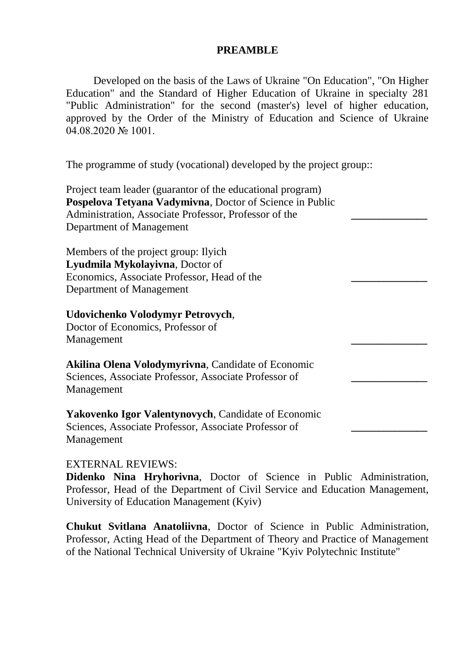### **PREAMBLE**

Developed on the basis of the Laws of Ukraine "On Education", "On Higher Education" and the Standard of Higher Education of Ukraine in specialty 281 "Public Administration" for the second (master's) level of higher education, approved by the Order of the Ministry of Education and Science of Ukraine 04.08.2020 № 1001.

The programme of study (vocational) developed by the project group::

| Project team leader (guarantor of the educational program)<br>Pospelova Tetyana Vadymivna, Doctor of Science in Public<br>Administration, Associate Professor, Professor of the<br>Department of Management |  |
|-------------------------------------------------------------------------------------------------------------------------------------------------------------------------------------------------------------|--|
| Members of the project group: Ilyich                                                                                                                                                                        |  |
| Lyudmila Mykolayivna, Doctor of                                                                                                                                                                             |  |
| Economics, Associate Professor, Head of the                                                                                                                                                                 |  |
| Department of Management                                                                                                                                                                                    |  |
| Udovichenko Volodymyr Petrovych,                                                                                                                                                                            |  |
| Doctor of Economics, Professor of                                                                                                                                                                           |  |
| Management                                                                                                                                                                                                  |  |
| <b>Akilina Olena Volodymyrivna, Candidate of Economic</b>                                                                                                                                                   |  |
| Sciences, Associate Professor, Associate Professor of                                                                                                                                                       |  |
| Management                                                                                                                                                                                                  |  |
| <b>Yakovenko Igor Valentynovych, Candidate of Economic</b>                                                                                                                                                  |  |
| Sciences, Associate Professor, Associate Professor of                                                                                                                                                       |  |
| Management                                                                                                                                                                                                  |  |

### EXTERNAL REVIEWS:

**Didenko Nina Hryhorivna**, Doctor of Science in Public Administration, Professor, Head of the Department of Civil Service and Education Management, University of Education Management (Kyiv)

**Chukut Svitlana Anatoliivna**, Doctor of Science in Public Administration, Professor, Acting Head of the Department of Theory and Practice of Management of the National Technical University of Ukraine "Kyiv Polytechnic Institute"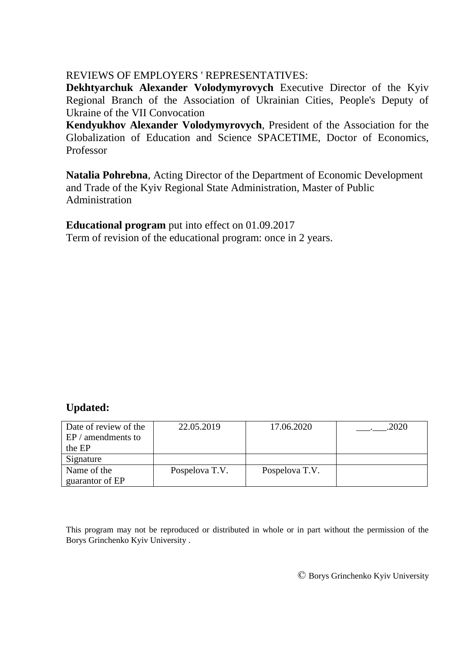### REVIEWS OF EMPLOYERS ' REPRESENTATIVES:

**Dekhtyarchuk Alexander Volodymyrovych** Executive Director of the Kyiv Regional Branch of the Association of Ukrainian Cities, People's Deputy of Ukraine of the VII Convocation

**Kendyukhov Alexander Volodymyrovych**, President of the Association for the Globalization of Education and Science SPACETIME, Doctor of Economics, Professor

**Natalia Pohrebna**, Acting Director of the Department of Economic Development and Trade of the Kyiv Regional State Administration, Master of Public Administration

**Educational program** put into effect on 01.09.2017 Term of revision of the educational program: once in 2 years.

## **Updated:**

| Date of review of the | 22.05.2019     | 17.06.2020     | 2020 |
|-----------------------|----------------|----------------|------|
| $EP/$ amendments to   |                |                |      |
| the EP                |                |                |      |
| Signature             |                |                |      |
| Name of the           | Pospelova T.V. | Pospelova T.V. |      |
| guarantor of EP       |                |                |      |

This program may not be reproduced or distributed in whole or in part without the permission of the Borys Grinchenko Kyiv University .

© Borys Grinchenko Kyiv University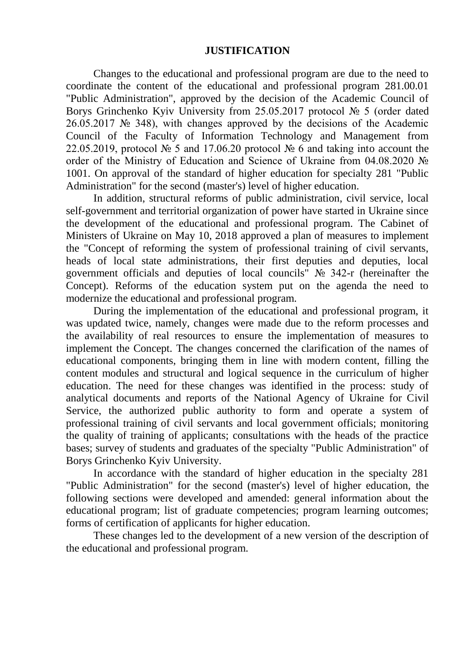### **JUSTIFICATION**

Changes to the educational and professional program are due to the need to coordinate the content of the educational and professional program 281.00.01 "Public Administration", approved by the decision of the Academic Council of Borys Grinchenko Kyiv University from 25.05.2017 protocol № 5 (order dated 26.05.2017 № 348), with changes approved by the decisions of the Academic Council of the Faculty of Information Technology and Management from 22.05.2019, protocol  $\mathbb{N}^{\circ}$  5 and 17.06.20 protocol  $\mathbb{N}^{\circ}$  6 and taking into account the order of the Ministry of Education and Science of Ukraine from 04.08.2020 № 1001. On approval of the standard of higher education for specialty 281 "Public Administration" for the second (master's) level of higher education.

In addition, structural reforms of public administration, civil service, local self-government and territorial organization of power have started in Ukraine since the development of the educational and professional program. The Cabinet of Ministers of Ukraine on May 10, 2018 approved a plan of measures to implement the "Concept of reforming the system of professional training of civil servants, heads of local state administrations, their first deputies and deputies, local government officials and deputies of local councils" № 342-r (hereinafter the Concept). Reforms of the education system put on the agenda the need to modernize the educational and professional program.

During the implementation of the educational and professional program, it was updated twice, namely, changes were made due to the reform processes and the availability of real resources to ensure the implementation of measures to implement the Concept. The changes concerned the clarification of the names of educational components, bringing them in line with modern content, filling the content modules and structural and logical sequence in the curriculum of higher education. The need for these changes was identified in the process: study of analytical documents and reports of the National Agency of Ukraine for Civil Service, the authorized public authority to form and operate a system of professional training of civil servants and local government officials; monitoring the quality of training of applicants; consultations with the heads of the practice bases; survey of students and graduates of the specialty "Public Administration" of Borys Grinchenko Kyiv University.

In accordance with the standard of higher education in the specialty 281 "Public Administration" for the second (master's) level of higher education, the following sections were developed and amended: general information about the educational program; list of graduate competencies; program learning outcomes; forms of certification of applicants for higher education.

These changes led to the development of a new version of the description of the educational and professional program.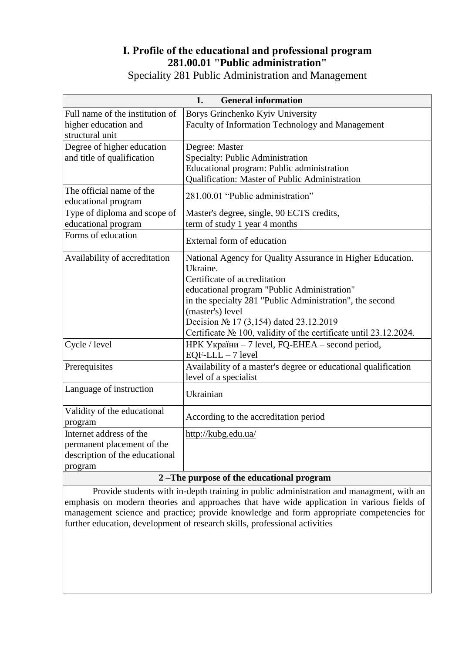## **І. Profile of the educational and professional program 281.00.01 "Public administration"**

| <b>General information</b><br>1.         |                                                                  |  |  |
|------------------------------------------|------------------------------------------------------------------|--|--|
| Full name of the institution of          | Borys Grinchenko Kyiv University                                 |  |  |
| higher education and                     | Faculty of Information Technology and Management                 |  |  |
| structural unit                          |                                                                  |  |  |
| Degree of higher education               | Degree: Master                                                   |  |  |
| and title of qualification               | Specialty: Public Administration                                 |  |  |
|                                          | Educational program: Public administration                       |  |  |
|                                          | Qualification: Master of Public Administration                   |  |  |
| The official name of the                 |                                                                  |  |  |
| educational program                      | 281.00.01 "Public administration"                                |  |  |
| Type of diploma and scope of             | Master's degree, single, 90 ECTS credits,                        |  |  |
| educational program                      | term of study 1 year 4 months                                    |  |  |
| Forms of education                       |                                                                  |  |  |
|                                          | External form of education                                       |  |  |
| Availability of accreditation            | National Agency for Quality Assurance in Higher Education.       |  |  |
|                                          | Ukraine.                                                         |  |  |
|                                          | Certificate of accreditation                                     |  |  |
|                                          | educational program "Public Administration"                      |  |  |
|                                          | in the specialty 281 "Public Administration", the second         |  |  |
|                                          | (master's) level                                                 |  |  |
|                                          | Decision $N_2$ 17 (3,154) dated 23.12.2019                       |  |  |
|                                          | Certificate № 100, validity of the certificate until 23.12.2024. |  |  |
| Cycle / level                            | HPK України - 7 level, FQ-EHEA - second period,                  |  |  |
|                                          | $EQF-LLL - 7$ level                                              |  |  |
| Prerequisites                            | Availability of a master's degree or educational qualification   |  |  |
|                                          | level of a specialist                                            |  |  |
| Language of instruction                  |                                                                  |  |  |
|                                          | Ukrainian                                                        |  |  |
| Validity of the educational              |                                                                  |  |  |
| program                                  | According to the accreditation period                            |  |  |
| Internet address of the                  | http://kubg.edu.ua/                                              |  |  |
| permanent placement of the               |                                                                  |  |  |
| description of the educational           |                                                                  |  |  |
| program                                  |                                                                  |  |  |
| 2-The purpose of the educational program |                                                                  |  |  |

Speciality 281 Public Administration and Management

Provide students with in-depth training in public administration and managment, with an emphasis on modern theories and approaches that have wide application in various fields of management science and practice; provide knowledge and form appropriate competencies for further education, development of research skills, professional activities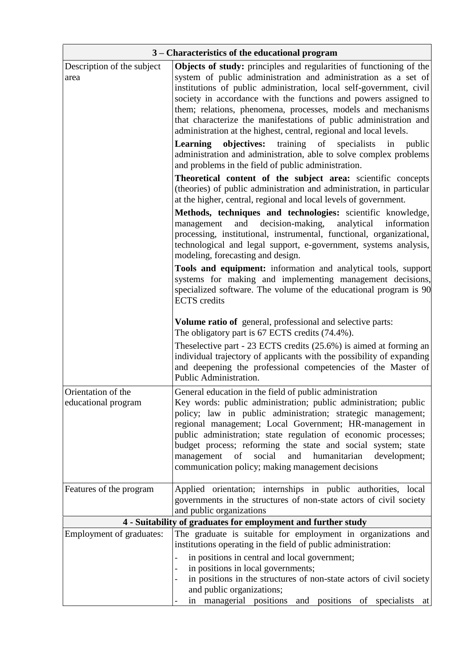| 3 – Characteristics of the educational program                |                                                                                                                                                                                                                                                                                                                                                                                                                                                                                                                                                                                                                                                  |  |  |  |
|---------------------------------------------------------------|--------------------------------------------------------------------------------------------------------------------------------------------------------------------------------------------------------------------------------------------------------------------------------------------------------------------------------------------------------------------------------------------------------------------------------------------------------------------------------------------------------------------------------------------------------------------------------------------------------------------------------------------------|--|--|--|
| Description of the subject<br>area                            | <b>Objects of study:</b> principles and regularities of functioning of the<br>system of public administration and administration as a set of<br>institutions of public administration, local self-government, civil<br>society in accordance with the functions and powers assigned to<br>them; relations, phenomena, processes, models and mechanisms<br>that characterize the manifestations of public administration and<br>administration at the highest, central, regional and local levels.<br><b>objectives:</b> training of specialists<br>Learning<br>in<br>public<br>administration and administration, able to solve complex problems |  |  |  |
|                                                               | and problems in the field of public administration.<br>Theoretical content of the subject area: scientific concepts<br>(theories) of public administration and administration, in particular<br>at the higher, central, regional and local levels of government.                                                                                                                                                                                                                                                                                                                                                                                 |  |  |  |
|                                                               | Methods, techniques and technologies: scientific knowledge,<br>and decision-making,<br>management<br>analytical<br>information<br>processing, institutional, instrumental, functional, organizational,<br>technological and legal support, e-government, systems analysis,<br>modeling, forecasting and design.                                                                                                                                                                                                                                                                                                                                  |  |  |  |
|                                                               | Tools and equipment: information and analytical tools, support<br>systems for making and implementing management decisions,<br>specialized software. The volume of the educational program is 90<br><b>ECTS</b> credits                                                                                                                                                                                                                                                                                                                                                                                                                          |  |  |  |
|                                                               | <b>Volume ratio of</b> general, professional and selective parts:<br>The obligatory part is 67 ECTS credits (74.4%).                                                                                                                                                                                                                                                                                                                                                                                                                                                                                                                             |  |  |  |
|                                                               | These lective part - $23$ ECTS credits $(25.6\%)$ is aimed at forming an<br>individual trajectory of applicants with the possibility of expanding<br>and deepening the professional competencies of the Master of<br>Public Administration.                                                                                                                                                                                                                                                                                                                                                                                                      |  |  |  |
| Orientation of the<br>educational program                     | General education in the field of public administration<br>Key words: public administration; public administration; public<br>policy; law in public administration; strategic management;<br>regional management; Local Government; HR-management in<br>public administration; state regulation of economic processes;<br>budget process; reforming the state and social system; state<br>social<br>humanitarian<br>management of<br>and<br>development;<br>communication policy; making management decisions                                                                                                                                    |  |  |  |
| Features of the program                                       | Applied orientation; internships in public authorities, local<br>governments in the structures of non-state actors of civil society<br>and public organizations                                                                                                                                                                                                                                                                                                                                                                                                                                                                                  |  |  |  |
| 4 - Suitability of graduates for employment and further study |                                                                                                                                                                                                                                                                                                                                                                                                                                                                                                                                                                                                                                                  |  |  |  |
| <b>Employment of graduates:</b>                               | The graduate is suitable for employment in organizations and<br>institutions operating in the field of public administration:                                                                                                                                                                                                                                                                                                                                                                                                                                                                                                                    |  |  |  |
|                                                               | in positions in central and local government;<br>in positions in local governments;<br>in positions in the structures of non-state actors of civil society<br>and public organizations;<br>in managerial positions and positions of specialists at                                                                                                                                                                                                                                                                                                                                                                                               |  |  |  |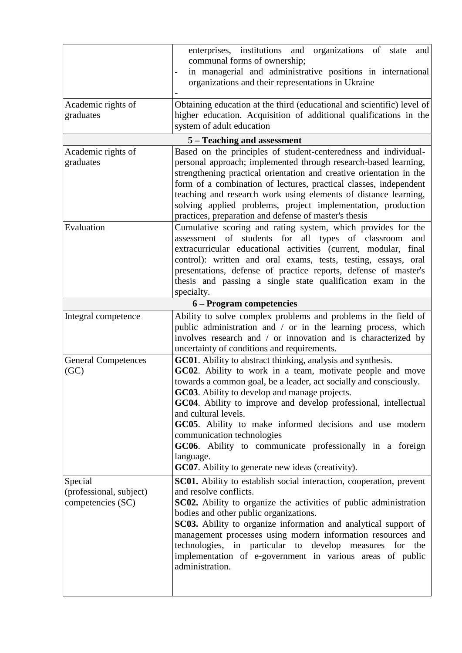|                                                         | enterprises, institutions and organizations of state<br>and<br>communal forms of ownership;<br>in managerial and administrative positions in international<br>organizations and their representations in Ukraine                                                                                                                                                                                                                                                                                                                                                 |  |
|---------------------------------------------------------|------------------------------------------------------------------------------------------------------------------------------------------------------------------------------------------------------------------------------------------------------------------------------------------------------------------------------------------------------------------------------------------------------------------------------------------------------------------------------------------------------------------------------------------------------------------|--|
| Academic rights of<br>graduates                         | Obtaining education at the third (educational and scientific) level of<br>higher education. Acquisition of additional qualifications in the<br>system of adult education                                                                                                                                                                                                                                                                                                                                                                                         |  |
|                                                         | 5 – Teaching and assessment                                                                                                                                                                                                                                                                                                                                                                                                                                                                                                                                      |  |
| Academic rights of<br>graduates                         | Based on the principles of student-centeredness and individual-<br>personal approach; implemented through research-based learning,<br>strengthening practical orientation and creative orientation in the<br>form of a combination of lectures, practical classes, independent<br>teaching and research work using elements of distance learning,<br>solving applied problems, project implementation, production<br>practices, preparation and defense of master's thesis                                                                                       |  |
| Evaluation                                              | Cumulative scoring and rating system, which provides for the<br>assessment of students for all types of classroom<br>and<br>extracurricular educational activities (current, modular,<br>final<br>control): written and oral exams, tests, testing, essays, oral<br>presentations, defense of practice reports, defense of master's<br>thesis and passing a single state qualification exam in the<br>specialty.                                                                                                                                                 |  |
|                                                         | 6 – Program competencies                                                                                                                                                                                                                                                                                                                                                                                                                                                                                                                                         |  |
| Integral competence                                     | Ability to solve complex problems and problems in the field of<br>public administration and / or in the learning process, which<br>involves research and / or innovation and is characterized by<br>uncertainty of conditions and requirements.                                                                                                                                                                                                                                                                                                                  |  |
| <b>General Competences</b><br>(GC)                      | GC01. Ability to abstract thinking, analysis and synthesis.<br>GC02. Ability to work in a team, motivate people and move<br>towards a common goal, be a leader, act socially and consciously.<br>GC03. Ability to develop and manage projects.<br>GC04. Ability to improve and develop professional, intellectual<br>and cultural levels.<br>GC05. Ability to make informed decisions and use modern<br>communication technologies<br>GC06. Ability to communicate professionally in a foreign<br>language.<br>GC07. Ability to generate new ideas (creativity). |  |
| Special<br>(professional, subject)<br>competencies (SC) | <b>SC01.</b> Ability to establish social interaction, cooperation, prevent<br>and resolve conflicts.<br>SC02. Ability to organize the activities of public administration<br>bodies and other public organizations.<br>SC03. Ability to organize information and analytical support of<br>management processes using modern information resources and<br>technologies, in particular to develop measures for the<br>implementation of e-government in various areas of public<br>administration.                                                                 |  |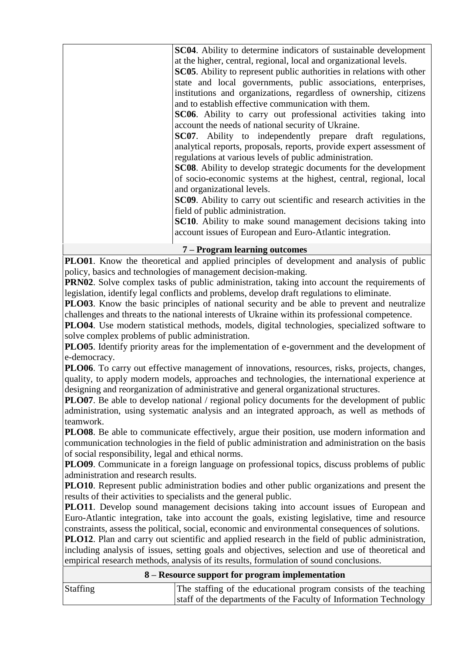| <b>SC04.</b> Ability to determine indicators of sustainable development      |
|------------------------------------------------------------------------------|
| at the higher, central, regional, local and organizational levels.           |
| <b>SC05.</b> Ability to represent public authorities in relations with other |
| state and local governments, public associations, enterprises,               |
| institutions and organizations, regardless of ownership, citizens            |
| and to establish effective communication with them.                          |
| SC06. Ability to carry out professional activities taking into               |
| account the needs of national security of Ukraine.                           |
| SC07. Ability to independently prepare draft regulations,                    |
| analytical reports, proposals, reports, provide expert assessment of         |
| regulations at various levels of public administration.                      |
| <b>SC08.</b> Ability to develop strategic documents for the development      |
| of socio-economic systems at the highest, central, regional, local           |
| and organizational levels.                                                   |
| <b>SC09.</b> Ability to carry out scientific and research activities in the  |
| field of public administration.                                              |
| SC10. Ability to make sound management decisions taking into                 |
| account issues of European and Euro-Atlantic integration.                    |
|                                                                              |

**7 – Program learning outcomes**

**PLO01**. Know the theoretical and applied principles of development and analysis of public policy, basics and technologies of management decision-making.

**PRN02.** Solve complex tasks of public administration, taking into account the requirements of legislation, identify legal conflicts and problems, develop draft regulations to eliminate.

**PLO03**. Know the basic principles of national security and be able to prevent and neutralize challenges and threats to the national interests of Ukraine within its professional competence.

**PLO04**. Use modern statistical methods, models, digital technologies, specialized software to solve complex problems of public administration.

**PLO05**. Identify priority areas for the implementation of e-government and the development of e-democracy.

**PLO06**. To carry out effective management of innovations, resources, risks, projects, changes, quality, to apply modern models, approaches and technologies, the international experience at designing and reorganization of administrative and general organizational structures.

**PLO07**. Be able to develop national / regional policy documents for the development of public administration, using systematic analysis and an integrated approach, as well as methods of teamwork.

**PLO08**. Be able to communicate effectively, argue their position, use modern information and communication technologies in the field of public administration and administration on the basis of social responsibility, legal and ethical norms.

**PLO09**. Communicate in a foreign language on professional topics, discuss problems of public administration and research results.

**PLO10**. Represent public administration bodies and other public organizations and present the results of their activities to specialists and the general public.

**PLO11**. Develop sound management decisions taking into account issues of European and Euro-Atlantic integration, take into account the goals, existing legislative, time and resource constraints, assess the political, social, economic and environmental consequences of solutions.

**PLO12.** Plan and carry out scientific and applied research in the field of public administration, including analysis of issues, setting goals and objectives, selection and use of theoretical and empirical research methods, analysis of its results, formulation of sound conclusions.

#### **8 – Resource support for program implementation**

| <b>Staffing</b> | The staffing of the educational program consists of the teaching  |
|-----------------|-------------------------------------------------------------------|
|                 | staff of the departments of the Faculty of Information Technology |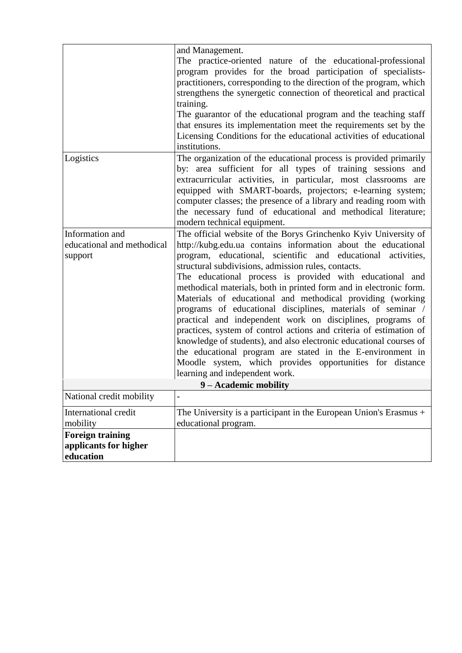|                            | and Management.                                                                                                                 |  |  |  |
|----------------------------|---------------------------------------------------------------------------------------------------------------------------------|--|--|--|
|                            | The practice-oriented nature of the educational-professional                                                                    |  |  |  |
|                            | program provides for the broad participation of specialists-                                                                    |  |  |  |
|                            | practitioners, corresponding to the direction of the program, which                                                             |  |  |  |
|                            | strengthens the synergetic connection of theoretical and practical                                                              |  |  |  |
|                            | training.<br>The guarantor of the educational program and the teaching staff                                                    |  |  |  |
|                            | that ensures its implementation meet the requirements set by the                                                                |  |  |  |
|                            | Licensing Conditions for the educational activities of educational                                                              |  |  |  |
|                            | institutions.                                                                                                                   |  |  |  |
|                            |                                                                                                                                 |  |  |  |
| Logistics                  | The organization of the educational process is provided primarily<br>by: area sufficient for all types of training sessions and |  |  |  |
|                            | extracurricular activities, in particular, most classrooms are                                                                  |  |  |  |
|                            | equipped with SMART-boards, projectors; e-learning system;                                                                      |  |  |  |
|                            | computer classes; the presence of a library and reading room with                                                               |  |  |  |
|                            | the necessary fund of educational and methodical literature;                                                                    |  |  |  |
|                            | modern technical equipment.                                                                                                     |  |  |  |
| Information and            | The official website of the Borys Grinchenko Kyiv University of                                                                 |  |  |  |
| educational and methodical | http://kubg.edu.ua contains information about the educational                                                                   |  |  |  |
| support                    | program, educational, scientific and educational activities,                                                                    |  |  |  |
|                            | structural subdivisions, admission rules, contacts.                                                                             |  |  |  |
|                            | The educational process is provided with educational and                                                                        |  |  |  |
|                            | methodical materials, both in printed form and in electronic form.                                                              |  |  |  |
|                            | Materials of educational and methodical providing (working                                                                      |  |  |  |
|                            | programs of educational disciplines, materials of seminar /                                                                     |  |  |  |
|                            | practical and independent work on disciplines, programs of                                                                      |  |  |  |
|                            | practices, system of control actions and criteria of estimation of                                                              |  |  |  |
|                            | knowledge of students), and also electronic educational courses of                                                              |  |  |  |
|                            | the educational program are stated in the E-environment in                                                                      |  |  |  |
|                            | Moodle system, which provides opportunities for distance                                                                        |  |  |  |
|                            | learning and independent work.                                                                                                  |  |  |  |
|                            | 9 – Academic mobility                                                                                                           |  |  |  |
| National credit mobility   |                                                                                                                                 |  |  |  |
| International credit       | The University is a participant in the European Union's Erasmus $+$                                                             |  |  |  |
| mobility                   | educational program.                                                                                                            |  |  |  |
| <b>Foreign training</b>    |                                                                                                                                 |  |  |  |
| applicants for higher      |                                                                                                                                 |  |  |  |
| education                  |                                                                                                                                 |  |  |  |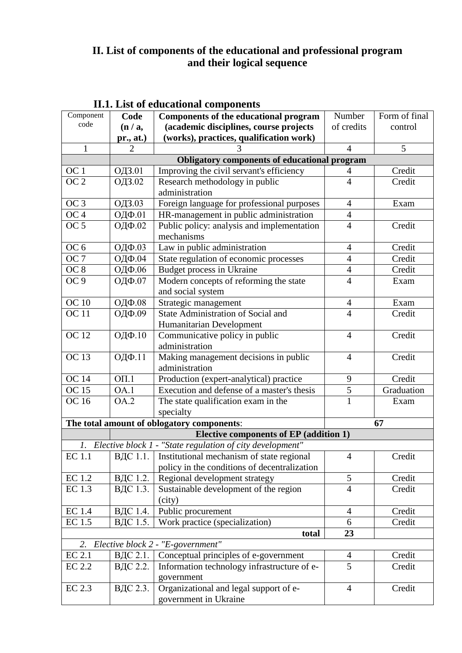### **II. List of components of the educational and professional program and their logical sequence**

| Component                                     | Code                                             | Components of the educational program                     | Number         | Form of final |
|-----------------------------------------------|--------------------------------------------------|-----------------------------------------------------------|----------------|---------------|
| code                                          | (n/a,                                            | (academic disciplines, course projects                    | of credits     | control       |
|                                               | pr., at.)                                        | (works), practices, qualification work)                   |                |               |
| 1                                             | $\overline{2}$                                   | 3                                                         | 4              | 5             |
|                                               |                                                  | <b>Obligatory components of educational program</b>       |                |               |
| OC 1                                          | ОДЗ.01                                           | Improving the civil servant's efficiency                  | 4              | Credit        |
| $\overline{OC2}$                              | ОДЗ.02                                           | Research methodology in public                            | $\overline{4}$ | Credit        |
|                                               |                                                  | administration                                            |                |               |
| OC <sub>3</sub>                               | ОДЗ.03                                           | Foreign language for professional purposes                | $\overline{4}$ | Exam          |
| OC <sub>4</sub>                               | ОДФ.01                                           | HR-management in public administration                    | $\overline{4}$ |               |
| OC <sub>5</sub>                               | ОДФ.02                                           | Public policy: analysis and implementation                | $\overline{4}$ | Credit        |
|                                               |                                                  | mechanisms                                                |                |               |
| OC <sub>6</sub>                               | ОДФ.03                                           | Law in public administration                              | $\overline{4}$ | Credit        |
| OC7                                           | ОДФ.04                                           | State regulation of economic processes                    | $\overline{4}$ | Credit        |
| OC <sub>8</sub>                               | ОДФ.06                                           | Budget process in Ukraine                                 | $\overline{4}$ | Credit        |
| OC <sub>9</sub>                               | ОДФ.07                                           | Modern concepts of reforming the state                    | $\overline{4}$ | Exam          |
|                                               |                                                  | and social system                                         |                |               |
| <b>OC</b> 10                                  | ОДФ.08                                           | Strategic management                                      | $\overline{4}$ | Exam          |
| <b>OC</b> 11                                  | ОДФ.09                                           | State Administration of Social and                        | $\overline{4}$ | Credit        |
|                                               |                                                  | Humanitarian Development                                  |                |               |
| <b>OC</b> 12                                  | ОДФ.10                                           | Communicative policy in public                            | $\overline{4}$ | Credit        |
|                                               |                                                  | administration                                            |                |               |
| <b>OC13</b>                                   | ОДФ.11                                           | Making management decisions in public                     | $\overline{4}$ | Credit        |
|                                               |                                                  | administration                                            |                |               |
| <b>OC</b> 14                                  | $O\Pi.1$                                         | Production (expert-analytical) practice                   | 9              | Credit        |
| OC 15                                         | OA.1                                             | Execution and defense of a master's thesis                | $\frac{5}{1}$  | Graduation    |
| <b>OC</b> 16                                  | OA.2                                             | The state qualification exam in the                       |                | Exam          |
|                                               |                                                  | specialty                                                 |                |               |
|                                               | The total amount of oblogatory components:<br>67 |                                                           |                |               |
| <b>Elective components of EP (addition 1)</b> |                                                  |                                                           |                |               |
| 1.                                            |                                                  | Elective block 1 - "State regulation of city development" |                |               |
| <b>EC</b> 1.1                                 |                                                  | ВДС 1.1.   Institutional mechanism of state regional      | $\overline{4}$ | Credit        |
|                                               |                                                  | policy in the conditions of decentralization              |                |               |
| <b>EC</b> 1.2                                 | ВДС 1.2.                                         | Regional development strategy                             | 5              | Credit        |
| EC 1.3                                        | ВДС 1.3.                                         | Sustainable development of the region                     | $\overline{4}$ | Credit        |
|                                               |                                                  | (city)                                                    |                |               |
| EC 1.4                                        | ВДС 1.4.                                         | Public procurement                                        | 4              | Credit        |
| EC 1.5                                        | ВДС 1.5.                                         | Work practice (specialization)                            | 6              | Credit        |
|                                               |                                                  | total                                                     | 23             |               |
| 2.                                            |                                                  | Elective block 2 - "E-government"                         |                |               |
| <b>EC 2.1</b>                                 | ВДС 2.1.                                         | Conceptual principles of e-government                     | $\overline{4}$ | Credit        |
| EC 2.2                                        | ВДС 2.2.                                         | Information technology infrastructure of e-               | $\overline{5}$ | Credit        |
|                                               |                                                  | government                                                |                |               |
| <b>EC 2.3</b>                                 | ВДС 2.3.                                         | Organizational and legal support of e-                    | $\overline{4}$ | Credit        |
|                                               |                                                  | government in Ukraine                                     |                |               |

# **II.1. List of educational components**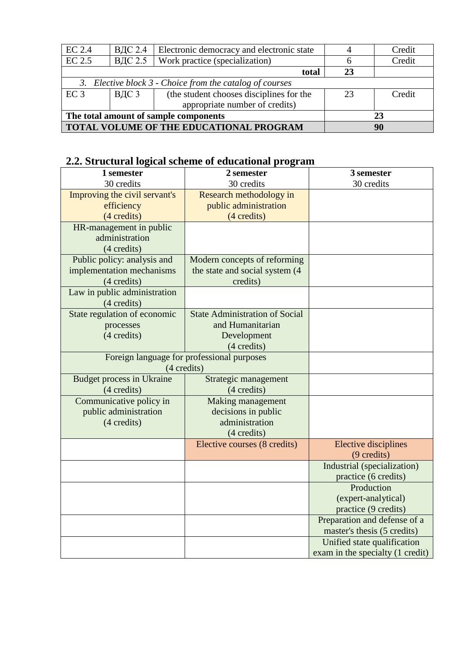| $EC$ 2.4                                                 | ВДС 2.4 | Electronic democracy and electronic state |    | Credit |
|----------------------------------------------------------|---------|-------------------------------------------|----|--------|
| EC 2.5                                                   | ВДС 2.5 | Work practice (specialization)            | h  | Credit |
|                                                          |         | total                                     | 23 |        |
| 3. Elective block 3 - Choice from the catalog of courses |         |                                           |    |        |
| EC <sub>3</sub>                                          | ВДС 3   | (the student chooses disciplines for the  | 23 | Credit |
|                                                          |         | appropriate number of credits)            |    |        |
| The total amount of sample components                    |         |                                           | 23 |        |
| TOTAL VOLUME OF THE EDUCATIONAL PROGRAM                  |         |                                           | 90 |        |

# **2.2. Structural logical scheme of educational program**

| 1 semester                       | 2 semester                                 | 3 semester                       |
|----------------------------------|--------------------------------------------|----------------------------------|
| 30 credits                       | 30 credits                                 | 30 credits                       |
| Improving the civil servant's    | Research methodology in                    |                                  |
| efficiency                       | public administration                      |                                  |
| (4 credits)                      | (4 credits)                                |                                  |
| HR-management in public          |                                            |                                  |
| administration                   |                                            |                                  |
| (4 credits)                      |                                            |                                  |
| Public policy: analysis and      | Modern concepts of reforming               |                                  |
| implementation mechanisms        | the state and social system (4)            |                                  |
| (4 credits)                      | credits)                                   |                                  |
| Law in public administration     |                                            |                                  |
| (4 credits)                      |                                            |                                  |
| State regulation of economic     | <b>State Administration of Social</b>      |                                  |
| processes                        | and Humanitarian                           |                                  |
| (4 credits)                      | Development                                |                                  |
|                                  | (4 credits)                                |                                  |
|                                  | Foreign language for professional purposes |                                  |
|                                  | (4 credits)                                |                                  |
| <b>Budget process in Ukraine</b> | Strategic management                       |                                  |
| $(4 \text{ credits})$            | (4 credits)                                |                                  |
| Communicative policy in          | Making management                          |                                  |
| public administration            | decisions in public                        |                                  |
| (4 credits)                      | administration                             |                                  |
|                                  | (4 credits)                                |                                  |
|                                  | Elective courses (8 credits)               | <b>Elective disciplines</b>      |
|                                  |                                            | (9 credits)                      |
|                                  |                                            | Industrial (specialization)      |
|                                  |                                            | practice (6 credits)             |
|                                  |                                            | Production                       |
|                                  |                                            | (expert-analytical)              |
|                                  |                                            | practice (9 credits)             |
|                                  |                                            | Preparation and defense of a     |
|                                  |                                            | master's thesis (5 credits)      |
|                                  |                                            | Unified state qualification      |
|                                  |                                            | exam in the specialty (1 credit) |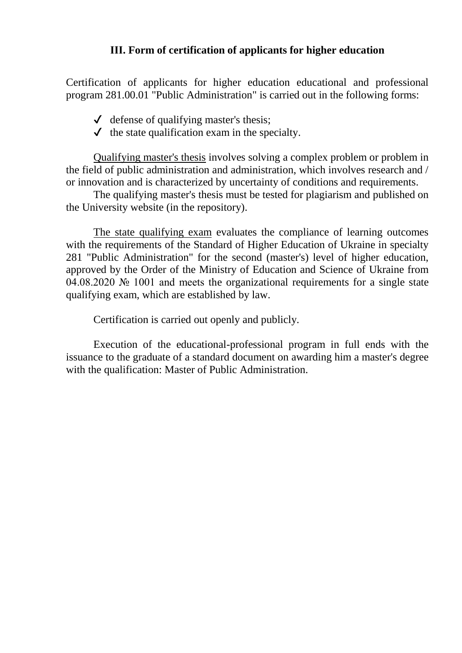### **ІІІ. Form of certification of applicants for higher education**

Certification of applicants for higher education educational and professional program 281.00.01 "Public Administration" is carried out in the following forms:

- $\checkmark$  defense of qualifying master's thesis;
- $\checkmark$  the state qualification exam in the specialty.

Qualifying master's thesis involves solving a complex problem or problem in the field of public administration and administration, which involves research and / or innovation and is characterized by uncertainty of conditions and requirements.

The qualifying master's thesis must be tested for plagiarism and published on the University website (in the repository).

The state qualifying exam evaluates the compliance of learning outcomes with the requirements of the Standard of Higher Education of Ukraine in specialty 281 "Public Administration" for the second (master's) level of higher education, approved by the Order of the Ministry of Education and Science of Ukraine from 04.08.2020 № 1001 and meets the organizational requirements for a single state qualifying exam, which are established by law.

Certification is carried out openly and publicly.

Execution of the educational-professional program in full ends with the issuance to the graduate of a standard document on awarding him a master's degree with the qualification: Master of Public Administration.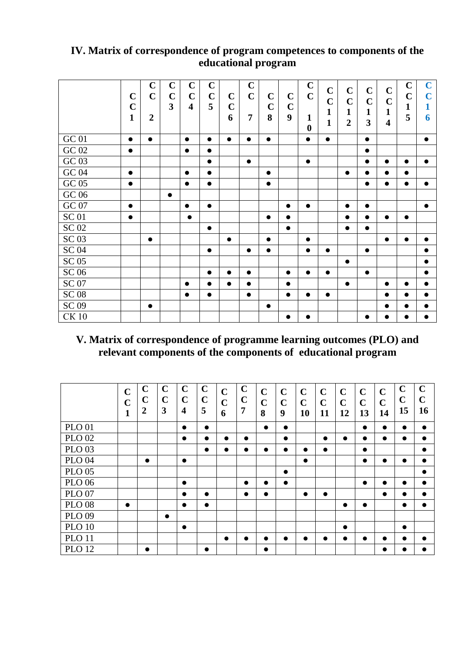## **IV. Matrix of correspondence of program competences to components of the educational program**

|              | $\mathbf C$<br>$\mathbf C$<br>$\mathbf{1}$ | $\mathbf C$<br>$\mathbf C$<br>$\overline{2}$ | $\mathbf C$<br>$\mathbf C$<br>$\overline{\mathbf{3}}$ | $\mathbf C$<br>$\mathbf C$<br>$\overline{\mathbf{4}}$ | $\mathbf C$<br>$\mathbf C$<br>5 | $\mathbf C$<br>$\mathbf C$<br>6 | $\mathbf C$<br>$\mathbf C$<br>$\overline{7}$ | $\mathbf C$<br>$\mathbf C$<br>8 | $\mathbf C$<br>$\mathbf C$<br>9 | $\mathbf C$<br>$\mathbf C$<br>$\mathbf{1}$<br>$\boldsymbol{0}$ | $\mathbf C$<br>$\mathbf C$<br>$\mathbf{1}$<br>$\mathbf{1}$ | $\mathbf C$<br>$\mathbf C$<br>$\mathbf{1}$<br>$\overline{2}$ | $\mathbf C$<br>$\mathbf C$<br>$\mathbf{1}$<br>3 | $\mathbf C$<br>$\mathbf C$<br>$\mathbf{1}$<br>$\overline{\mathbf{4}}$ | $\mathbf C$<br>$\mathbf C$<br>1<br>5 | $\mathbf C$<br>$\mathbf C$<br>1<br>6 |
|--------------|--------------------------------------------|----------------------------------------------|-------------------------------------------------------|-------------------------------------------------------|---------------------------------|---------------------------------|----------------------------------------------|---------------------------------|---------------------------------|----------------------------------------------------------------|------------------------------------------------------------|--------------------------------------------------------------|-------------------------------------------------|-----------------------------------------------------------------------|--------------------------------------|--------------------------------------|
| <b>GC 01</b> | $\bullet$                                  | $\bullet$                                    |                                                       | $\bullet$                                             | $\bullet$                       | $\bullet$                       | $\bullet$                                    | $\bullet$                       |                                 | $\bullet$                                                      | $\bullet$                                                  |                                                              | $\bullet$                                       |                                                                       |                                      | $\bullet$                            |
| GC 02        | $\bullet$                                  |                                              |                                                       | $\bullet$                                             | $\bullet$                       |                                 |                                              |                                 |                                 |                                                                |                                                            |                                                              | $\bullet$                                       |                                                                       |                                      |                                      |
| GC 03        |                                            |                                              |                                                       |                                                       | $\bullet$                       |                                 | $\bullet$                                    |                                 |                                 | $\bullet$                                                      |                                                            |                                                              | $\bullet$                                       | $\bullet$                                                             | $\bullet$                            | $\bullet$                            |
| GC 04        | $\bullet$                                  |                                              |                                                       | $\bullet$                                             | $\bullet$                       |                                 |                                              | $\bullet$                       |                                 |                                                                |                                                            | $\bullet$                                                    | $\bullet$                                       | $\bullet$                                                             | $\bullet$                            |                                      |
| GC 05        | $\bullet$                                  |                                              |                                                       | $\bullet$                                             | $\bullet$                       |                                 |                                              | $\bullet$                       |                                 |                                                                |                                                            |                                                              | $\bullet$                                       | $\bullet$                                                             | $\bullet$                            | $\bullet$                            |
| $\rm GC$ 06  |                                            |                                              | $\bullet$                                             |                                                       |                                 |                                 |                                              |                                 |                                 |                                                                |                                                            |                                                              |                                                 |                                                                       |                                      |                                      |
| GC 07        | $\bullet$                                  |                                              |                                                       | $\bullet$                                             | $\bullet$                       |                                 |                                              |                                 | $\bullet$                       | $\bullet$                                                      |                                                            | $\bullet$                                                    | $\bullet$                                       |                                                                       |                                      | $\bullet$                            |
| <b>SC01</b>  | $\bullet$                                  |                                              |                                                       | $\bullet$                                             |                                 |                                 |                                              | $\bullet$                       | $\bullet$                       |                                                                |                                                            | $\bullet$                                                    | $\bullet$                                       | $\bullet$                                                             | $\bullet$                            |                                      |
| <b>SC 02</b> |                                            |                                              |                                                       |                                                       | $\bullet$                       |                                 |                                              |                                 | $\bullet$                       |                                                                |                                                            | $\bullet$                                                    | $\bullet$                                       |                                                                       |                                      |                                      |
| <b>SC 03</b> |                                            | $\bullet$                                    |                                                       |                                                       |                                 | $\bullet$                       |                                              | $\bullet$                       |                                 | $\bullet$                                                      |                                                            |                                                              |                                                 | $\bullet$                                                             | $\bullet$                            | $\bullet$                            |
| <b>SC 04</b> |                                            |                                              |                                                       |                                                       | $\bullet$                       |                                 | $\bullet$                                    | $\bullet$                       |                                 | $\bullet$                                                      | $\bullet$                                                  |                                                              | $\bullet$                                       |                                                                       |                                      | $\bullet$                            |
| <b>SC 05</b> |                                            |                                              |                                                       |                                                       |                                 |                                 |                                              |                                 |                                 |                                                                |                                                            | $\bullet$                                                    |                                                 |                                                                       |                                      | $\bullet$                            |
| <b>SC 06</b> |                                            |                                              |                                                       |                                                       | $\bullet$                       | $\bullet$                       | $\bullet$                                    |                                 | $\bullet$                       | $\bullet$                                                      | $\bullet$                                                  |                                                              | $\bullet$                                       |                                                                       |                                      | $\bullet$                            |
| <b>SC 07</b> |                                            |                                              |                                                       | $\bullet$                                             | $\bullet$                       | $\bullet$                       | $\bullet$                                    |                                 | $\bullet$                       |                                                                |                                                            | $\bullet$                                                    |                                                 | $\bullet$                                                             | $\bullet$                            | $\bullet$                            |
| <b>SC 08</b> |                                            |                                              |                                                       | $\bullet$                                             | $\bullet$                       |                                 | $\bullet$                                    |                                 | $\bullet$                       | $\bullet$                                                      | $\bullet$                                                  |                                                              |                                                 | $\bullet$                                                             | ●                                    |                                      |
| <b>SC 09</b> |                                            | $\bullet$                                    |                                                       |                                                       |                                 |                                 |                                              | $\bullet$                       |                                 |                                                                |                                                            |                                                              |                                                 | $\bullet$                                                             |                                      | $\bullet$                            |
| <b>CK10</b>  |                                            |                                              |                                                       |                                                       |                                 |                                 |                                              |                                 | $\bullet$                       | $\bullet$                                                      |                                                            |                                                              | $\bullet$                                       | $\bullet$                                                             | $\bullet$                            | $\bullet$                            |

# **V. Matrix of correspondence of programme learning outcomes (PLO) and relevant components of the components of educational program**

|               | $\overline{C}$<br>$\mathbf C$<br>1 | $\mathbf C$<br>$\mathbf C$<br>$\boldsymbol{2}$ | $\mathbf C$<br>$\mathbf C$<br>3 | $\mathbf C$<br>$\mathbf C$<br>$\overline{\mathbf{4}}$ | $\mathbf C$<br>$\mathbf C$<br>5 | $\mathbf C$<br>$\mathbf C$<br>6 | $\mathbf C$<br>$\mathbf C$<br>$\overline{7}$ | $\mathbf C$<br>$\mathbf C$<br>8 | $\mathbf C$<br>$\mathbf C$<br>9 | $\mathbf C$<br>$\mathbf C$<br>10 | $\mathbf C$<br>$\mathbf C$<br>11 | $\mathbf C$<br>$\mathbf C$<br>12 | $\mathbf C$<br>$\mathbf C$<br>13 | $\mathbf C$<br>$\mathbf C$<br>14 | $\mathbf C$<br>$\mathbf C$<br>15 | $\mathbf C$<br>$\mathbf C$<br>16 |
|---------------|------------------------------------|------------------------------------------------|---------------------------------|-------------------------------------------------------|---------------------------------|---------------------------------|----------------------------------------------|---------------------------------|---------------------------------|----------------------------------|----------------------------------|----------------------------------|----------------------------------|----------------------------------|----------------------------------|----------------------------------|
| <b>PLO 01</b> |                                    |                                                |                                 | $\bullet$                                             | $\bullet$                       |                                 |                                              | $\bullet$                       | $\bullet$                       |                                  |                                  |                                  | $\bullet$                        | $\bullet$                        | $\bullet$                        | $\bullet$                        |
| <b>PLO 02</b> |                                    |                                                |                                 | $\bullet$                                             |                                 |                                 |                                              |                                 | $\bullet$                       |                                  | $\bullet$                        | $\bullet$                        | $\bullet$                        | $\bullet$                        | $\bullet$                        |                                  |
| <b>PLO 03</b> |                                    |                                                |                                 |                                                       | $\bullet$                       | 0                               |                                              |                                 |                                 | $\bullet$                        | $\bullet$                        |                                  | $\bullet$                        |                                  |                                  | $\bullet$                        |
| <b>PLO 04</b> |                                    | $\bullet$                                      |                                 | $\bullet$                                             |                                 |                                 |                                              |                                 |                                 | $\bullet$                        |                                  |                                  | $\bullet$                        | $\bullet$                        | $\bullet$                        | $\bullet$                        |
| <b>PLO 05</b> |                                    |                                                |                                 |                                                       |                                 |                                 |                                              |                                 | $\bullet$                       |                                  |                                  |                                  |                                  |                                  |                                  | $\bullet$                        |
| <b>PLO 06</b> |                                    |                                                |                                 | $\bullet$                                             |                                 |                                 | $\bullet$                                    |                                 | $\bullet$                       |                                  |                                  |                                  | $\bullet$                        | $\bullet$                        | $\bullet$                        |                                  |
| <b>PLO 07</b> |                                    |                                                |                                 | $\bullet$                                             | ●                               |                                 | $\bullet$                                    | $\bullet$                       |                                 | $\bullet$                        | $\bullet$                        |                                  |                                  | $\bullet$                        |                                  | ●                                |
| <b>PLO 08</b> | $\bullet$                          |                                                |                                 | $\bullet$                                             | $\bullet$                       |                                 |                                              |                                 |                                 |                                  |                                  | $\bullet$                        | $\bullet$                        |                                  | $\bullet$                        | $\bullet$                        |
| <b>PLO 09</b> |                                    |                                                | $\bullet$                       |                                                       |                                 |                                 |                                              |                                 |                                 |                                  |                                  |                                  |                                  |                                  |                                  |                                  |
| <b>PLO 10</b> |                                    |                                                |                                 | $\bullet$                                             |                                 |                                 |                                              |                                 |                                 |                                  |                                  | $\bullet$                        |                                  |                                  | $\bullet$                        |                                  |
| <b>PLO 11</b> |                                    |                                                |                                 |                                                       |                                 | $\bullet$                       |                                              |                                 |                                 |                                  | $\bullet$                        | $\bullet$                        | $\bullet$                        | $\bullet$                        | $\bullet$                        | $\bullet$                        |
| <b>PLO 12</b> |                                    |                                                |                                 |                                                       | ●                               |                                 |                                              | $\bullet$                       |                                 |                                  |                                  |                                  |                                  | $\bullet$                        | ●                                |                                  |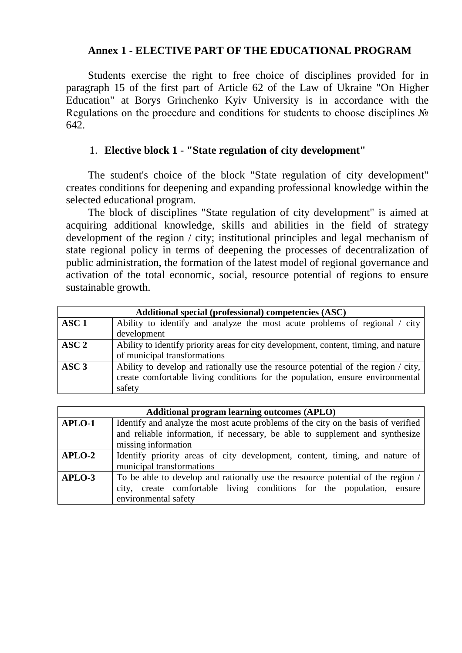### **Annex 1 - ELECTIVE PART OF THE EDUCATIONAL PROGRAM**

Students exercise the right to free choice of disciplines provided for in paragraph 15 of the first part of Article 62 of the Law of Ukraine "On Higher Education" at Borys Grinchenko Kyiv University is in accordance with the Regulations on the procedure and conditions for students to choose disciplines № 642.

### 1. **Elective block 1 - "State regulation of city development"**

The student's choice of the block "State regulation of city development" creates conditions for deepening and expanding professional knowledge within the selected educational program.

The block of disciplines "State regulation of city development" is aimed at acquiring additional knowledge, skills and abilities in the field of strategy development of the region / city; institutional principles and legal mechanism of state regional policy in terms of deepening the processes of decentralization of public administration, the formation of the latest model of regional governance and activation of the total economic, social, resource potential of regions to ensure sustainable growth.

|                  | Additional special (professional) competencies (ASC)                                    |  |  |  |  |  |  |  |  |  |  |  |
|------------------|-----------------------------------------------------------------------------------------|--|--|--|--|--|--|--|--|--|--|--|
| ASC <sub>1</sub> | Ability to identify and analyze the most acute problems of regional / city              |  |  |  |  |  |  |  |  |  |  |  |
|                  | development                                                                             |  |  |  |  |  |  |  |  |  |  |  |
| $\bf{ASC}\ 2$    | Ability to identify priority areas for city development, content, timing, and nature    |  |  |  |  |  |  |  |  |  |  |  |
|                  | of municipal transformations                                                            |  |  |  |  |  |  |  |  |  |  |  |
| $\bf{ASC }$ 3    | Ability to develop and rationally use the resource potential of the region $\ell$ city, |  |  |  |  |  |  |  |  |  |  |  |
|                  | create comfortable living conditions for the population, ensure environmental           |  |  |  |  |  |  |  |  |  |  |  |
|                  | safety                                                                                  |  |  |  |  |  |  |  |  |  |  |  |

|        | <b>Additional program learning outcomes (APLO)</b>                                |  |  |  |  |  |  |  |  |  |  |
|--------|-----------------------------------------------------------------------------------|--|--|--|--|--|--|--|--|--|--|
| APLO-1 | Identify and analyze the most acute problems of the city on the basis of verified |  |  |  |  |  |  |  |  |  |  |
|        | and reliable information, if necessary, be able to supplement and synthesize      |  |  |  |  |  |  |  |  |  |  |
|        | missing information                                                               |  |  |  |  |  |  |  |  |  |  |
| APLO-2 | Identify priority areas of city development, content, timing, and nature of       |  |  |  |  |  |  |  |  |  |  |
|        | municipal transformations                                                         |  |  |  |  |  |  |  |  |  |  |
| APLO-3 | To be able to develop and rationally use the resource potential of the region /   |  |  |  |  |  |  |  |  |  |  |
|        | city, create comfortable living conditions for the population, ensure             |  |  |  |  |  |  |  |  |  |  |
|        | environmental safety                                                              |  |  |  |  |  |  |  |  |  |  |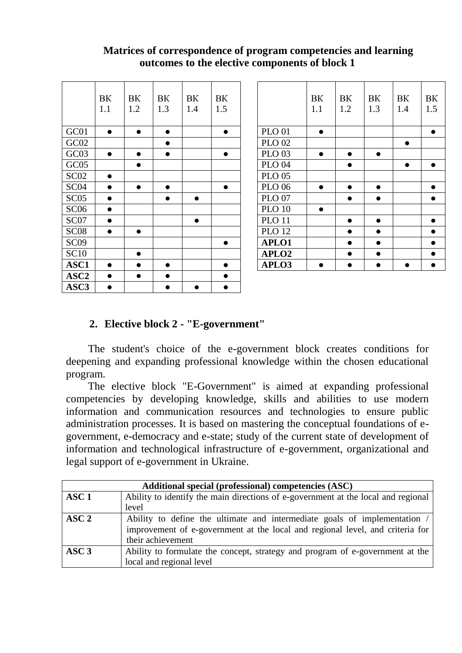### **Matrices of correspondence of program competencies and learning outcomes to the elective components of block 1**

|                  | BK        | BК        | BK        | BK        | BK        |                   | BK        | BK        | BK        | BK  |
|------------------|-----------|-----------|-----------|-----------|-----------|-------------------|-----------|-----------|-----------|-----|
|                  | 1.1       | 1.2       | 1.3       | 1.4       | 1.5       |                   | 1.1       | 1.2       | 1.3       | 1.4 |
|                  |           |           |           |           |           |                   |           |           |           |     |
| GC01             | $\bullet$ | $\bullet$ | $\bullet$ |           | $\bullet$ | <b>PLO 01</b>     | $\bullet$ |           |           |     |
| GC02             |           |           | $\bullet$ |           |           | <b>PLO 02</b>     |           |           |           |     |
| GC03             | $\bullet$ | $\bullet$ | $\bullet$ |           | $\bullet$ | <b>PLO 03</b>     | $\bullet$ | $\bullet$ | $\bullet$ |     |
| GC05             |           | $\bullet$ |           |           |           | <b>PLO 04</b>     |           | $\bullet$ |           |     |
| SC <sub>02</sub> | $\bullet$ |           |           |           |           | <b>PLO 05</b>     |           |           |           |     |
| SC <sub>04</sub> | $\bullet$ | $\bullet$ | $\bullet$ |           | $\bullet$ | <b>PLO 06</b>     | $\bullet$ | $\bullet$ | $\bullet$ |     |
| SC <sub>05</sub> | $\bullet$ |           | $\bullet$ | $\bullet$ |           | <b>PLO 07</b>     |           | $\bullet$ | $\bullet$ |     |
| SC <sub>06</sub> | $\bullet$ |           |           |           |           | <b>PLO 10</b>     | $\bullet$ |           |           |     |
| SC07             | $\bullet$ |           |           | $\bullet$ |           | <b>PLO 11</b>     |           | $\bullet$ | $\bullet$ |     |
| SC <sub>08</sub> | $\bullet$ | $\bullet$ |           |           |           | <b>PLO 12</b>     |           |           | $\bullet$ |     |
| SC <sub>09</sub> |           |           |           |           | $\bullet$ | APLO1             |           |           | $\bullet$ |     |
| <b>SC10</b>      |           | $\bullet$ |           |           |           | APLO <sub>2</sub> |           | $\bullet$ | $\bullet$ |     |
| ASC1             | $\bullet$ |           | $\bullet$ |           | $\bullet$ | APLO3             | $\bullet$ | $\bullet$ | $\bullet$ |     |
| ASC <sub>2</sub> | $\bullet$ | $\bullet$ | $\bullet$ |           | $\bullet$ |                   |           |           |           |     |
| ASC3             | $\bullet$ |           |           |           | $\bullet$ |                   |           |           |           |     |

|                  | BK<br>1.1 | BK<br>1.2 | BK<br>1.3 | BK<br>1.4 | BK<br>1.5 |                   | BK<br>1.1 | BK<br>1.2 | BK<br>1.3 | BK<br>1.4 | BK<br>1.5 |
|------------------|-----------|-----------|-----------|-----------|-----------|-------------------|-----------|-----------|-----------|-----------|-----------|
| GC01             | $\bullet$ | $\bullet$ | $\bullet$ |           | $\bullet$ | <b>PLO 01</b>     | $\bullet$ |           |           |           | $\bullet$ |
| GC02             |           |           | $\bullet$ |           |           | <b>PLO 02</b>     |           |           |           | $\bullet$ |           |
| GC03             | $\bullet$ | ●         | $\bullet$ |           | $\bullet$ | <b>PLO 03</b>     | $\bullet$ |           | $\bullet$ |           |           |
| GC05             |           |           |           |           |           | <b>PLO 04</b>     |           | $\bullet$ |           | $\bullet$ | $\bullet$ |
| SC02             | $\bullet$ |           |           |           |           | <b>PLO 05</b>     |           |           |           |           |           |
| SC <sub>04</sub> | $\bullet$ |           | $\bullet$ |           | $\bullet$ | <b>PLO 06</b>     | $\bullet$ | $\bullet$ | $\bullet$ |           | $\bullet$ |
| SC05             | $\bullet$ |           |           | $\bullet$ |           | <b>PLO 07</b>     |           |           | $\bullet$ |           | $\bullet$ |
| SC <sub>06</sub> | $\bullet$ |           |           |           |           | <b>PLO 10</b>     | $\bullet$ |           |           |           |           |
| SC07             | $\bullet$ |           |           | $\bullet$ |           | <b>PLO 11</b>     |           |           | $\bullet$ |           | $\bullet$ |
| SC <sub>08</sub> | $\bullet$ | $\bullet$ |           |           |           | <b>PLO 12</b>     |           | $\bullet$ | $\bullet$ |           | $\bullet$ |
| SC <sub>09</sub> |           |           |           |           | $\bullet$ | APLO1             |           | $\bullet$ | $\bullet$ |           | $\bullet$ |
| SC10             |           | $\bullet$ |           |           |           | APLO <sub>2</sub> |           | $\bullet$ | $\bullet$ |           | $\bullet$ |
| <b>ASC1</b>      | $\bullet$ |           |           |           |           | APLO3             |           |           | $\bullet$ |           | $\bullet$ |

# **2. Elective block 2 - "E-government"**

The student's choice of the e-government block creates conditions for deepening and expanding professional knowledge within the chosen educational program.

The elective block "E-Government" is aimed at expanding professional competencies by developing knowledge, skills and abilities to use modern information and communication resources and technologies to ensure public administration processes. It is based on mastering the conceptual foundations of egovernment, e-democracy and e-state; study of the current state of development of information and technological infrastructure of e-government, organizational and legal support of e-government in Ukraine.

|                  | Additional special (professional) competencies (ASC)                              |  |  |  |  |  |  |  |  |  |  |
|------------------|-----------------------------------------------------------------------------------|--|--|--|--|--|--|--|--|--|--|
| ASC <sub>1</sub> | Ability to identify the main directions of e-government at the local and regional |  |  |  |  |  |  |  |  |  |  |
|                  | level                                                                             |  |  |  |  |  |  |  |  |  |  |
| $\bf{ASC}\ 2$    | Ability to define the ultimate and intermediate goals of implementation /         |  |  |  |  |  |  |  |  |  |  |
|                  | improvement of e-government at the local and regional level, and criteria for     |  |  |  |  |  |  |  |  |  |  |
|                  | their achievement                                                                 |  |  |  |  |  |  |  |  |  |  |
| $\bf{ASC }$ 3    | Ability to formulate the concept, strategy and program of e-government at the     |  |  |  |  |  |  |  |  |  |  |
|                  | local and regional level                                                          |  |  |  |  |  |  |  |  |  |  |